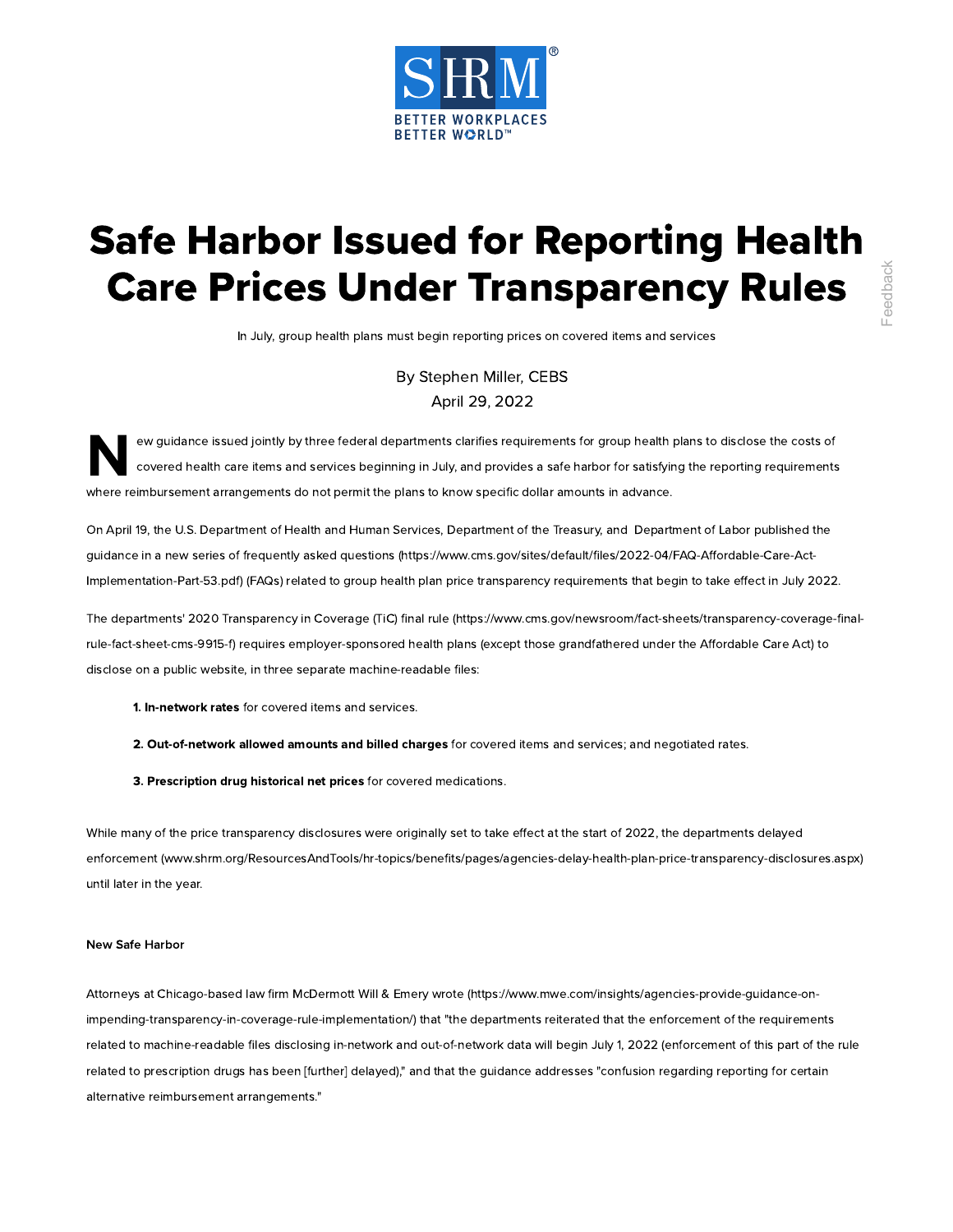

## Safe Harbor Issued for Reporting Health Care Prices Under Transparency Rules

In July, group health plans must begin reporting prices on covered items and services

By [Stephen](https://www.shrm.org/authors/Pages/Steve-Miller.aspx) Miller, CEBS April 29, 2022

N<sup>er</sup> ew guidance issued jointly by three federal departments clarifies requirements for group health plans to disclose the costs of covered health care items and services beginning in July, and provides a safe harbor for satisfying the reporting requirements where reimbursement arrangements do not permit the plans to know specific dollar amounts in advance.

On April 19, the U.S. Department of Health and Human Services, Department of the Treasury, and Department of Labor published the guidance in a new series of frequently asked questions [\(https://www.cms.gov/sites/default/files/2022-04/FAQ-Affordable-Care-Act-](https://www.cms.gov/sites/default/files/2022-04/FAQ-Affordable-Care-Act-Implementation-Part-53.pdf)Implementation-Part-53.pdf) (FAQs) related to group health plan price transparency requirements that begin to take effect in July 2022.

The departments' 2020 Transparency in Coverage (TiC) final rule [\(https://www.cms.gov/newsroom/fact-sheets/transparency-coverage-final](https://www.cms.gov/newsroom/fact-sheets/transparency-coverage-final-rule-fact-sheet-cms-9915-f)rule-fact-sheet-cms-9915-f) requires employer-sponsored health plans (except those grandfathered under the Affordable Care Act) to disclose on a public website, in three separate machine-readable files:

- **1. In-network rates** for covered items and services.
- 2. Out-of-network allowed amounts and billed charges for covered items and services; and negotiated rates.
- 3. Prescription drug historical net prices for covered medications.

While many of the price transparency disclosures were originally set to take effect at the start of 2022, the departments delayed enforcement [\(www.shrm.org/ResourcesAndTools/hr-topics/benefits/pages/agencies-delay-health-plan-price-transparency-disclosures.aspx\)](https://www.shrm.org/ResourcesAndTools/hr-topics/benefits/pages/agencies-delay-health-plan-price-transparency-disclosures.aspx) until later in the year.

## New Safe Harbor

Attorneys at Chicago-based law firm McDermott Will & Emery wrote [\(https://www.mwe.com/insights/agencies-provide-guidance-on](https://www.mwe.com/insights/agencies-provide-guidance-on-impending-transparency-in-coverage-rule-implementation/)impending-transparency-in-coverage-rule-implementation/) that "the departments reiterated that the enforcement of the requirements related to machine-readable files disclosing in-network and out-of-network data will begin July 1, 2022 (enforcement of this part of the rule related to prescription drugs has been [further] delayed)," and that the guidance addresses "confusion regarding reporting for certain **Care Prices Under Transpare**<br>
In July 2002<br>
In July 2002<br>
In July 2002<br>
In July 2002<br> **And 20.** 2022<br> **And 20.** 2022<br> **And 20.** 2022<br> **And 20.** 2022<br> **And 20.** 2022<br> **And 20.** 2022<br> **And 20.** 2022<br> **And 20.** 2022<br> **And 20**